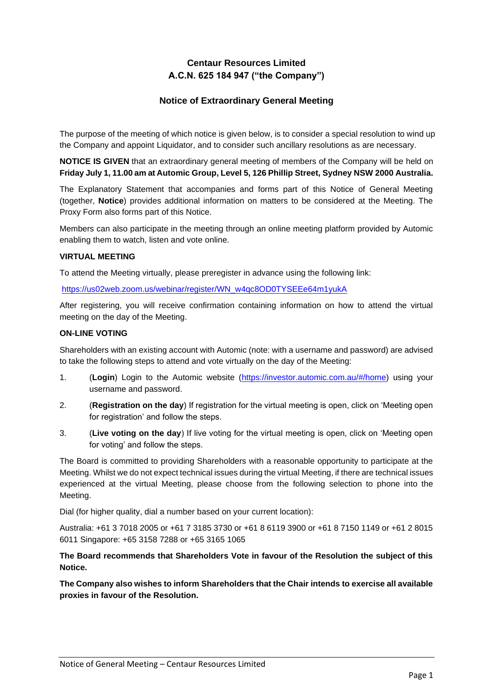# **Centaur Resources Limited A.C.N. 625 184 947 ("the Company")**

## **Notice of Extraordinary General Meeting**

The purpose of the meeting of which notice is given below, is to consider a special resolution to wind up the Company and appoint Liquidator, and to consider such ancillary resolutions as are necessary.

**NOTICE IS GIVEN** that an extraordinary general meeting of members of the Company will be held on **Friday July 1, 11.00 am at Automic Group, Level 5, 126 Phillip Street, Sydney NSW 2000 Australia.**

The Explanatory Statement that accompanies and forms part of this Notice of General Meeting (together, **Notice**) provides additional information on matters to be considered at the Meeting. The Proxy Form also forms part of this Notice.

Members can also participate in the meeting through an online meeting platform provided by Automic enabling them to watch, listen and vote online.

### **VIRTUAL MEETING**

To attend the Meeting virtually, please preregister in advance using the following link:

https://us02web.zoom.us/webinar/register/WN\_w4qc8OD0TYSEEe64m1yukA

After registering, you will receive confirmation containing information on how to attend the virtual meeting on the day of the Meeting.

### **ON-LINE VOTING**

Shareholders with an existing account with Automic (note: with a username and password) are advised to take the following steps to attend and vote virtually on the day of the Meeting:

- 1. (**Login**) Login to the Automic website (https://investor.automic.com.au/#/home) using your username and password.
- 2. (**Registration on the day**) If registration for the virtual meeting is open, click on 'Meeting open for registration' and follow the steps.
- 3. (**Live voting on the day**) If live voting for the virtual meeting is open, click on 'Meeting open for voting' and follow the steps.

The Board is committed to providing Shareholders with a reasonable opportunity to participate at the Meeting. Whilst we do not expect technical issues during the virtual Meeting, if there are technical issues experienced at the virtual Meeting, please choose from the following selection to phone into the Meeting.

Dial (for higher quality, dial a number based on your current location):

Australia: +61 3 7018 2005 or +61 7 3185 3730 or +61 8 6119 3900 or +61 8 7150 1149 or +61 2 8015 6011 Singapore: +65 3158 7288 or +65 3165 1065

## **The Board recommends that Shareholders Vote in favour of the Resolution the subject of this Notice.**

**The Company also wishes to inform Shareholders that the Chair intends to exercise all available proxies in favour of the Resolution.**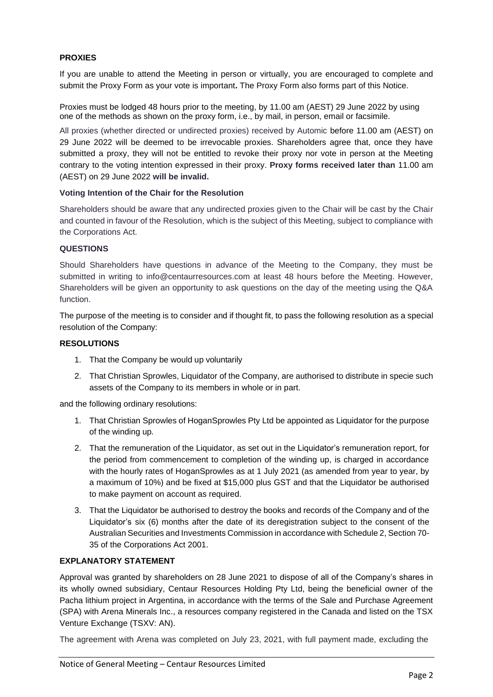## **PROXIES**

If you are unable to attend the Meeting in person or virtually, you are encouraged to complete and submit the Proxy Form as your vote is important**.** The Proxy Form also forms part of this Notice.

Proxies must be lodged 48 hours prior to the meeting, by 11.00 am (AEST) 29 June 2022 by using one of the methods as shown on the proxy form, i.e., by mail, in person, email or facsimile.

All proxies (whether directed or undirected proxies) received by Automic before 11.00 am (AEST) on 29 June 2022 will be deemed to be irrevocable proxies. Shareholders agree that, once they have submitted a proxy, they will not be entitled to revoke their proxy nor vote in person at the Meeting contrary to the voting intention expressed in their proxy. **Proxy forms received later than** 11.00 am (AEST) on 29 June 2022 **will be invalid.** 

### **Voting Intention of the Chair for the Resolution**

Shareholders should be aware that any undirected proxies given to the Chair will be cast by the Chair and counted in favour of the Resolution, which is the subject of this Meeting, subject to compliance with the Corporations Act.

## **QUESTIONS**

Should Shareholders have questions in advance of the Meeting to the Company, they must be submitted in writing to info@centaurresources.com at least 48 hours before the Meeting. However, Shareholders will be given an opportunity to ask questions on the day of the meeting using the Q&A function.

The purpose of the meeting is to consider and if thought fit, to pass the following resolution as a special resolution of the Company:

## **RESOLUTIONS**

- 1. That the Company be would up voluntarily
- 2. That Christian Sprowles, Liquidator of the Company, are authorised to distribute in specie such assets of the Company to its members in whole or in part.

and the following ordinary resolutions:

- 1. That Christian Sprowles of HoganSprowles Pty Ltd be appointed as Liquidator for the purpose of the winding up.
- 2. That the remuneration of the Liquidator, as set out in the Liquidator's remuneration report, for the period from commencement to completion of the winding up, is charged in accordance with the hourly rates of HoganSprowles as at 1 July 2021 (as amended from year to year, by a maximum of 10%) and be fixed at \$15,000 plus GST and that the Liquidator be authorised to make payment on account as required.
- 3. That the Liquidator be authorised to destroy the books and records of the Company and of the Liquidator's six (6) months after the date of its deregistration subject to the consent of the Australian Securities and Investments Commission in accordance with Schedule 2, Section 70- 35 of the Corporations Act 2001.

### **EXPLANATORY STATEMENT**

Approval was granted by shareholders on 28 June 2021 to dispose of all of the Company's shares in its wholly owned subsidiary, Centaur Resources Holding Pty Ltd, being the beneficial owner of the Pacha lithium project in Argentina, in accordance with the terms of the Sale and Purchase Agreement (SPA) with Arena Minerals Inc., a resources company registered in the Canada and listed on the TSX Venture Exchange (TSXV: AN).

The agreement with Arena was completed on July 23, 2021, with full payment made, excluding the